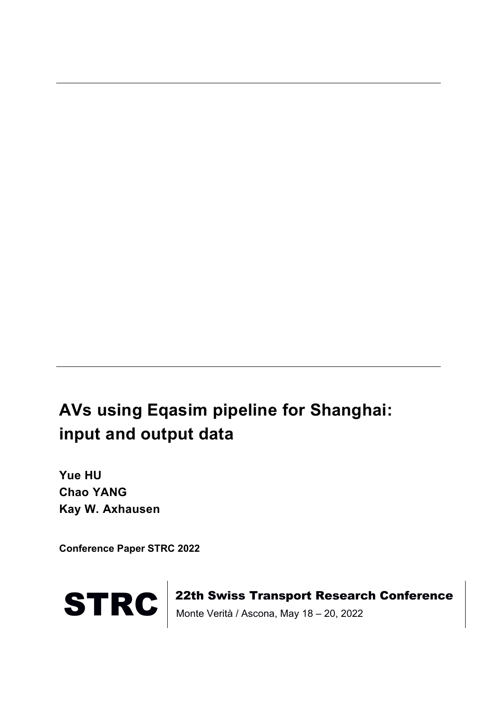# **AVs using Eqasim pipeline for Shanghai: input and output data**

**Yue HU Chao YANG Kay W. Axhausen**

**Conference Paper STRC 2022**



STRC | 22th Swiss Transport Research Conference<br>Monte Verità / Ascona, May 18 – 20, 2022 Monte Verità / Ascona, May 18 – 20, 2022